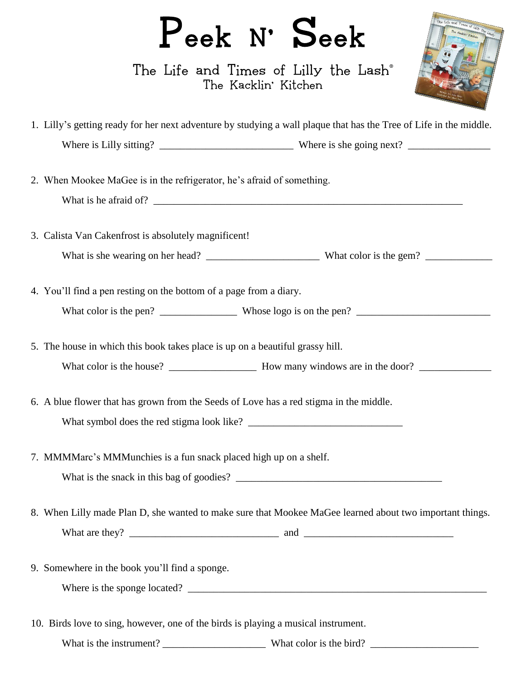## Peek N' Seek

The Life and Times of Lilly the Lash® The Kacklin' Kitchen



| 1. Lilly's getting ready for her next adventure by studying a wall plaque that has the Tree of Life in the middle. |  |  |
|--------------------------------------------------------------------------------------------------------------------|--|--|
|                                                                                                                    |  |  |
| 2. When Mookee MaGee is in the refrigerator, he's afraid of something.                                             |  |  |
| 3. Calista Van Cakenfrost is absolutely magnificent!                                                               |  |  |
|                                                                                                                    |  |  |
| 4. You'll find a pen resting on the bottom of a page from a diary.                                                 |  |  |
|                                                                                                                    |  |  |
| 5. The house in which this book takes place is up on a beautiful grassy hill.                                      |  |  |
| 6. A blue flower that has grown from the Seeds of Love has a red stigma in the middle.                             |  |  |
| 7. MMMMarc's MMMunchies is a fun snack placed high up on a shelf.                                                  |  |  |
| 8. When Lilly made Plan D, she wanted to make sure that Mookee MaGee learned about two important things.           |  |  |
| 9. Somewhere in the book you'll find a sponge.                                                                     |  |  |
| 10. Birds love to sing, however, one of the birds is playing a musical instrument.                                 |  |  |
|                                                                                                                    |  |  |